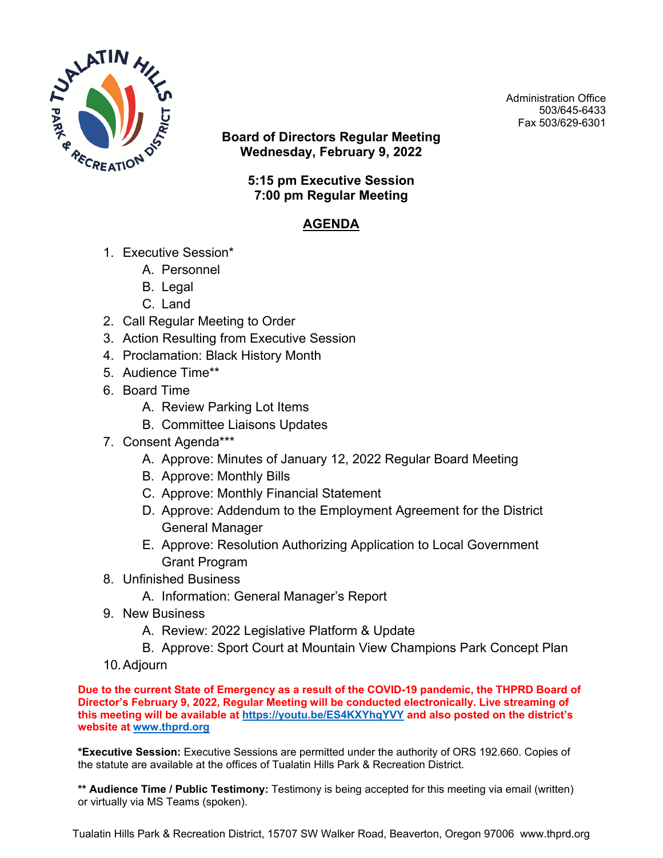

Administration Office 503/645-6433 Fax 503/629-6301

**Board of Directors Regular Meeting Wednesday, February 9, 2022**

> **5:15 pm Executive Session 7:00 pm Regular Meeting**

## **AGENDA**

- 1. Executive Session\*
	- A. Personnel
	- B. Legal
	- C. Land
- 2. Call Regular Meeting to Order
- 3. Action Resulting from Executive Session
- 4. Proclamation: Black History Month
- 5. Audience Time\*\*
- 6. Board Time
	- A. Review Parking Lot Items
	- B. Committee Liaisons Updates
- 7. Consent Agenda\*\*\*
	- A. Approve: Minutes of January 12, 2022 Regular Board Meeting
	- B. Approve: Monthly Bills
	- C. Approve: Monthly Financial Statement
	- D. Approve: Addendum to the Employment Agreement for the District General Manager
	- E. Approve: Resolution Authorizing Application to Local Government Grant Program
- 8. Unfinished Business
	- A. Information: General Manager's Report
- 9. New Business
	- A. Review: 2022 Legislative Platform & Update
	- B. Approve: Sport Court at Mountain View Champions Park Concept Plan
- 10.Adjourn

**Due to the current State of Emergency as a result of the COVID-19 pandemic, the THPRD Board of Director's February 9, 2022, Regular Meeting will be conducted electronically. Live streaming of this meeting will be available at <https://youtu.be/ES4KXYhqYVY> and also posted on the district's website at [www.thprd.org](http://www.thprd.org/)**

**\*Executive Session:** Executive Sessions are permitted under the authority of ORS 192.660. Copies of the statute are available at the offices of Tualatin Hills Park & Recreation District.

**\*\* Audience Time / Public Testimony:** Testimony is being accepted for this meeting via email (written) or virtually via MS Teams (spoken).

Tualatin Hills Park & Recreation District, 15707 SW Walker Road, Beaverton, Oregon 97006 www.thprd.org